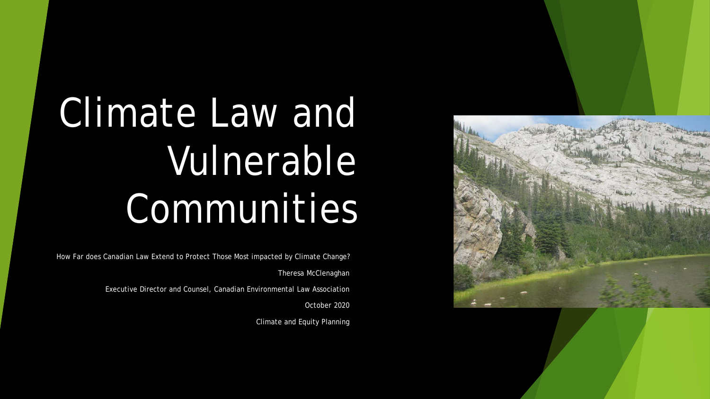

# Climate Law and Vulnerable Communities

How Far does Canadian Law Extend to Protect Those Most impacted by Climate Change? Theresa McClenaghan

Executive Director and Counsel, Canadian Environmental Law Association

October 2020

Climate and Equity Planning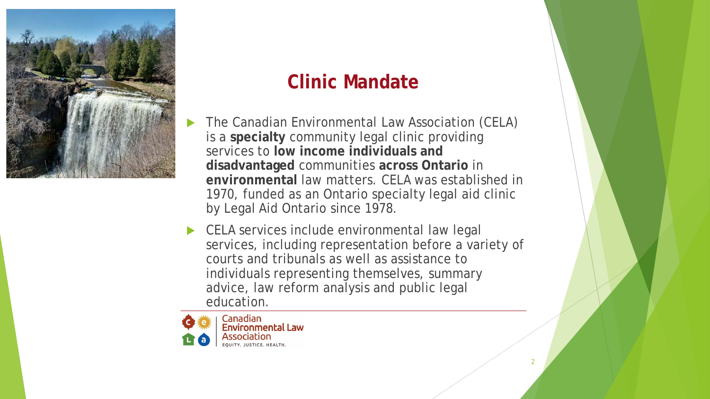

#### **Clinic Mandate**

- The Canadian Environmental Law Association (CELA) is a **specialty** community legal clinic providing services to **low income individuals and disadvantaged** communities **across Ontario** in **environmental** law matters. CELA was established in 1970, funded as an Ontario specialty legal aid clinic by Legal Aid Ontario since 1978.
- CELA services include environmental law legal services, including representation before a variety of courts and tribunals as well as assistance to individuals representing themselves, summary advice, law reform analysis and public legal education.

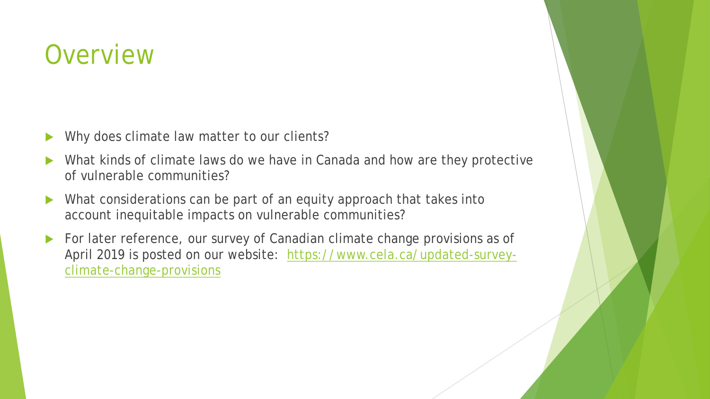### **Overview**

- Why does climate law matter to our clients?
- What kinds of climate laws do we have in Canada and how are they protective of vulnerable communities?
- Mhat considerations can be part of an equity approach that takes into account inequitable impacts on vulnerable communities?
- For later reference, our survey of Canadian climate change provisions as of [April 2019 is posted on our website: https://www.cela.ca/updated-survey](https://www.cela.ca/updated-survey-climate-change-provisions)climate-change-provisions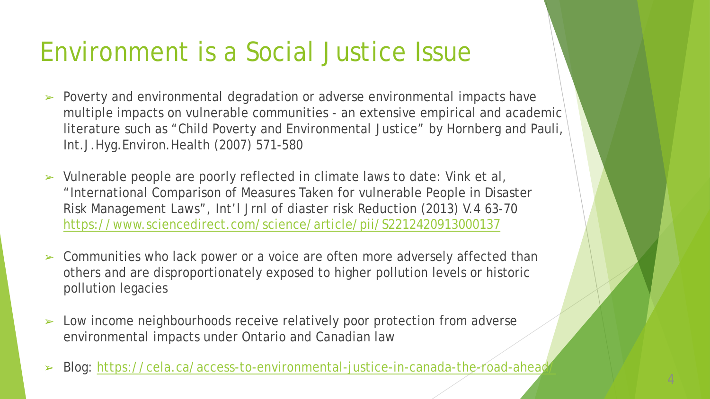### Environment is a Social Justice Issue

- ➢ Poverty and environmental degradation or adverse environmental impacts have multiple impacts on vulnerable communities - an extensive empirical and academic literature such as "Child Poverty and Environmental Justice" by Hornberg and Pauli, Int.J.Hyg.Environ.Health (2007) 571-580
- ➢ Vulnerable people are poorly reflected in climate laws to date: Vink et al, "International Comparison of Measures Taken for vulnerable People in Disaster Risk Management Laws", Int'l Jrnl of diaster risk Reduction (2013) V.4 63-70 <https://www.sciencedirect.com/science/article/pii/S2212420913000137>
- ➢ Communities who lack power or a voice are often more adversely affected than others and are disproportionately exposed to higher pollution levels or historic pollution legacies
- ➢ Low income neighbourhoods receive relatively poor protection from adverse environmental impacts under Ontario and Canadian law
- Blog: https://cela.ca/access-to-environmental-justice-in-canada-the-road-ahead

4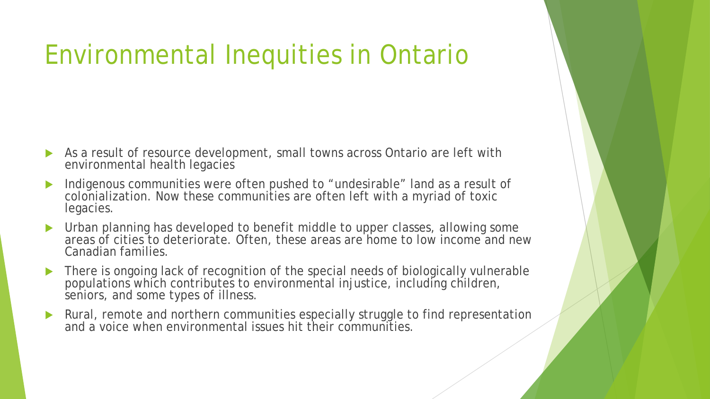# Environmental Inequities in Ontario

- As a result of resource development, small towns across Ontario are left with environmental health legacies
- Indigenous communities were often pushed to "undesirable" land as a result of colonialization. Now these communities are often left with a myriad of toxic legacies.
- Urban planning has developed to benefit middle to upper classes, allowing some areas of cities to deteriorate. Often, these areas are home to low income and new Canadian families.
- There is ongoing lack of recognition of the special needs of biologically vulnerable populations which contributes to environmental injustice, including children, seniors, and some types of illness.
- **Rural, remote and northern communities especially struggle to find representation** and a voice when environmental issues hit their communities.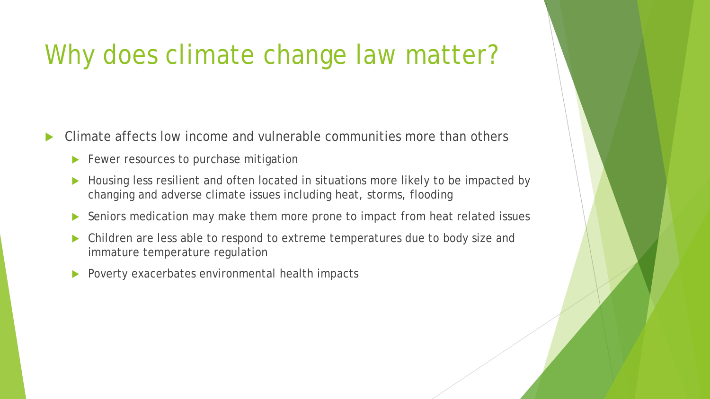## Why does climate change law matter?

Climate affects low income and vulnerable communities more than others

- Fewer resources to purchase mitigation
- Housing less resilient and often located in situations more likely to be impacted by changing and adverse climate issues including heat, storms, flooding
- ▶ Seniors medication may make them more prone to impact from heat related issues
- Children are less able to respond to extreme temperatures due to body size and immature temperature regulation
- Poverty exacerbates environmental health impacts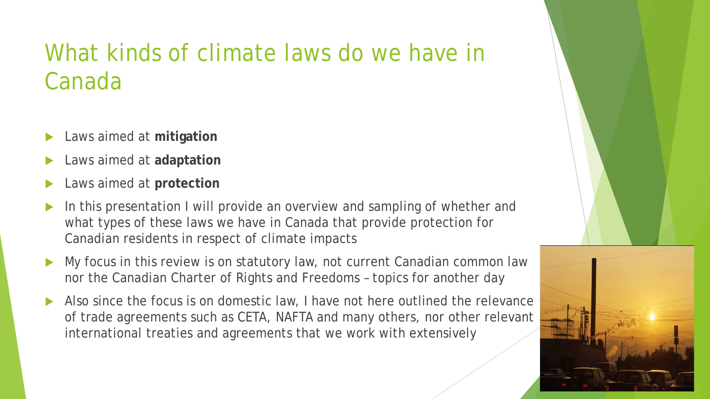#### What kinds of climate laws do we have in Canada

- Laws aimed at **mitigation**
- Laws aimed at **adaptation**
- Laws aimed at **protection**
- In this presentation I will provide an overview and sampling of whether and what types of these laws we have in Canada that provide protection for Canadian residents in respect of climate impacts
- My focus in this review is on statutory law, not current Canadian common law nor the Canadian Charter of Rights and Freedoms – topics for another day
- Also since the focus is on domestic law, I have not here outlined the relevance of trade agreements such as CETA, NAFTA and many others, nor other relevant international treaties and agreements that we work with extensively

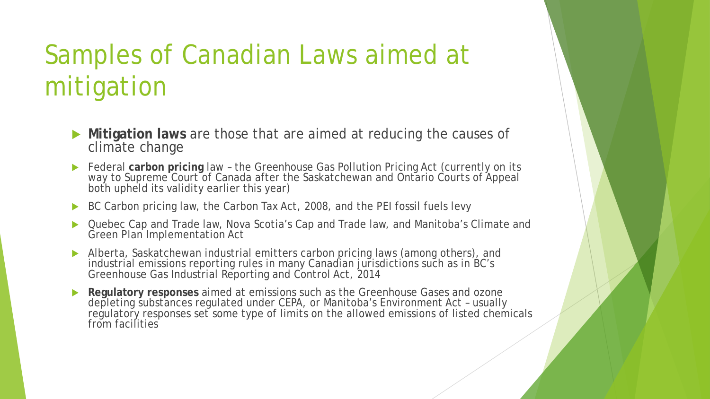# Samples of Canadian Laws aimed at mitigation

- **Mitigation laws** are those that are aimed at reducing the causes of climate change
- **Federal carbon pricing law the Greenhouse Gas Pollution Pricing Act (currently on its** way to Supreme Court of Canada after the Saskatchewan and Ontario Courts of Appeal both upheld its validity earlier this year)
- ▶ BC Carbon pricing law, the Carbon Tax Act, 2008, and the PEI fossil fuels levy
- Quebec Cap and Trade law, Nova Scotia's Cap and Trade law, and Manitoba's Climate and Green Plan Implementation Act
- Alberta, Saskatchewan industrial emitters carbon pricing laws (among others), and industrial emissions reporting rules in many Canadian jurisdictions such as in BC's Greenhouse Gas Industrial Reporting and Control Act, 2014
- **Regulatory responses** aimed at emissions such as the Greenhouse Gases and ozone depleting substances regulated under CEPA, or Manitoba's Environment Act – usually regulatory responses set some type of limits on the allowed emissions of listed chemicals from facilities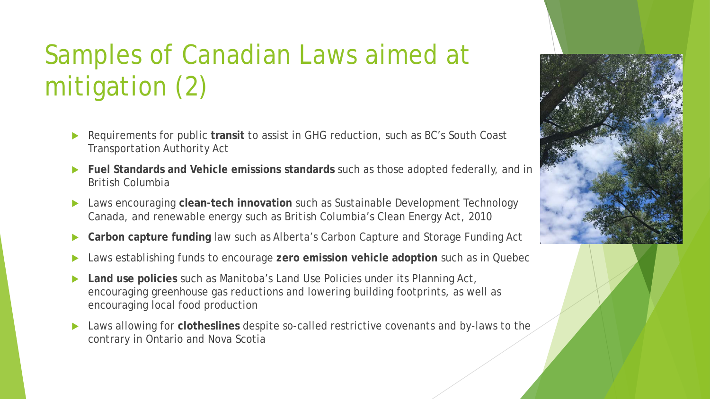# Samples of Canadian Laws aimed at mitigation (2)

- Requirements for public **transit** to assist in GHG reduction, such as BC's South Coast Transportation Authority Act
- **Fuel Standards and Vehicle emissions standards** such as those adopted federally, and in British Columbia
- Laws encouraging **clean-tech innovation** such as Sustainable Development Technology Canada, and renewable energy such as British Columbia's Clean Energy Act, 2010
- **Carbon capture funding** law such as Alberta's Carbon Capture and Storage Funding Act
- Laws establishing funds to encourage **zero emission vehicle adoption** such as in Quebec
- **Land use policies** such as Manitoba's Land Use Policies under its Planning Act, encouraging greenhouse gas reductions and lowering building footprints, as well as encouraging local food production
- Laws allowing for **clotheslines** despite so-called restrictive covenants and by-laws to the contrary in Ontario and Nova Scotia

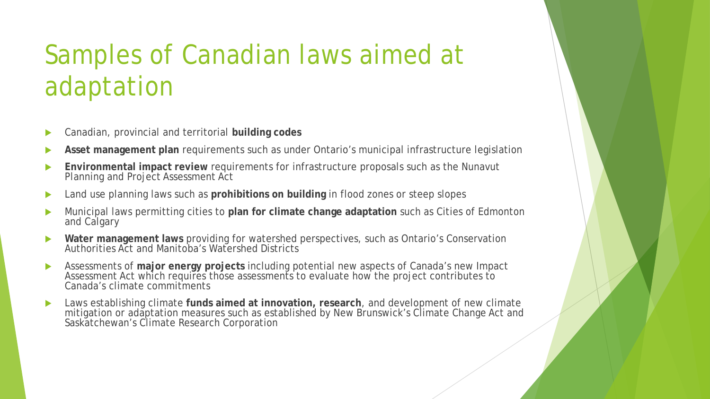# Samples of Canadian laws aimed at adaptation

- Canadian, provincial and territorial **building codes**
- **Asset management plan** requirements such as under Ontario's municipal infrastructure legislation
- **Environmental impact review** requirements for infrastructure proposals such as the Nunavut Planning and Project Assessment Act
- Land use planning laws such as **prohibitions on building** in flood zones or steep slopes
- Municipal laws permitting cities to **plan for climate change adaptation** such as Cities of Edmonton and Calgary
- **Water management laws** providing for watershed perspectives, such as Ontario's Conservation Authorities Act and Manitoba's Watershed Districts
- Assessments of **major energy projects** including potential new aspects of Canada's new Impact Assessment Act which requires those assessments to evaluate how the project contributes to Canada's climate commitments
- Laws establishing climate **funds aimed at innovation, research**, and development of new climate mitigation or adaptation measures such as established by New Brunswick's Climate Change Act and Saskatchewan's Climate Research Corporation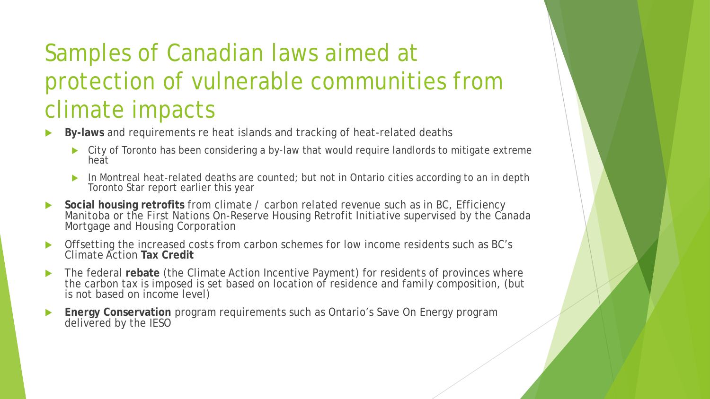#### Samples of Canadian laws aimed at protection of vulnerable communities from climate impacts

- **By-laws** and requirements re heat islands and tracking of heat-related deaths
	- ▶ City of Toronto has been considering a by-law that would require landlords to mitigate extreme heat
	- In Montreal heat-related deaths are counted; but not in Ontario cities according to an in depth Toronto Star report earlier this year
- **Social housing retrofits** from climate / carbon related revenue such as in BC, Efficiency Manitoba or the First Nations On-Reserve Housing Retrofit Initiative supervised by the Canada Mortgage and Housing Corporation
- Offsetting the increased costs from carbon schemes for low income residents such as BC's Climate Action **Tax Credit**
- The federal **rebate** (the Climate Action Incentive Payment) for residents of provinces where the carbon tax is imposed is set based on location of residence and family composition, (but is not based on income level)
- **Energy Conservation** program requirements such as Ontario's Save On Energy program delivered by the IESO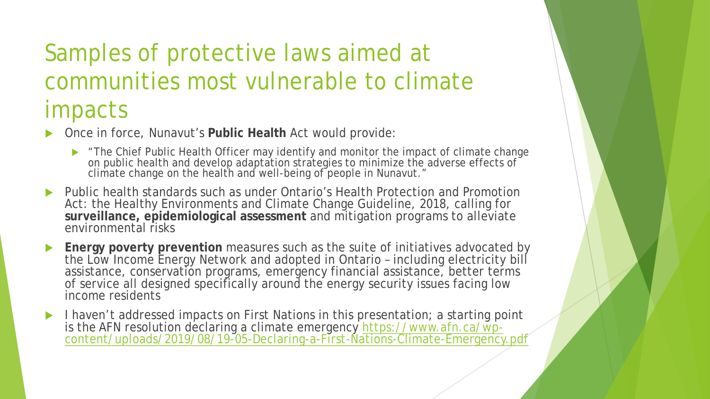#### Samples of protective laws aimed at communities most vulnerable to climate impacts

Once in force, Nunavut's **Public Health** Act would provide:

- The Chief Public Health Officer may identify and monitor the impact of climate change on public health and develop adaptation strategies to minimize the adverse effects of climate change on the health and well-being of people in Nunavut."
- Public health standards such as under Ontario's Health Protection and Promotion Act: the Healthy Environments and Climate Change Guideline, 2018, calling for **surveillance, epidemiological assessment** and mitigation programs to alleviate environmental risks
- **Energy poverty prevention** measures such as the suite of initiatives advocated by the Low Income Energy Network and adopted in Ontario – including electricity bill assistance, conservation programs, emergency financial assistance, better terms of service all designed specifically around the energy security issues facing low income residents
- I haven't addressed impacts on First Nations in this presentation; a starting point is the AFN resolution declaring a climate emergency <u>https://www.afn.ca/wp-</u><br>[content/uploads/2019/08/19-05-Declaring-a-First-Nations-Climate-Emergency.pdf](https://www.afn.ca/wp-content/uploads/2019/08/19-05-Declaring-a-First-Nations-Climate-Emergency.pdf)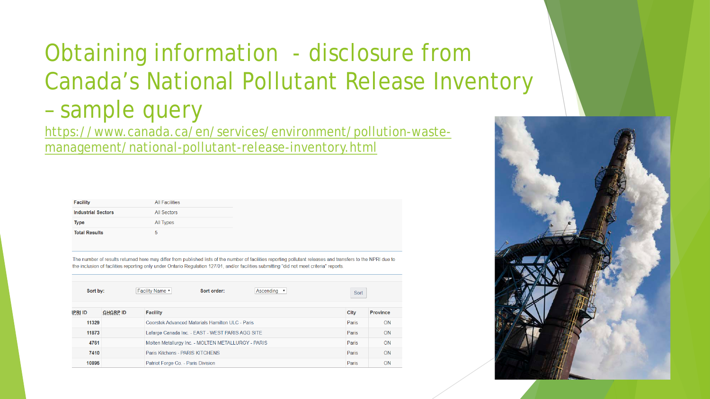#### Obtaining information - disclosure from Canada's National Pollutant Release Inventory – sample query

[https://www.canada.ca/en/services/environment/pollution-waste](https://www.canada.ca/en/services/environment/pollution-waste-management/national-pollutant-release-inventory.html)management/national-pollutant-release-inventory.html

| <b>Facility</b>            | <b>All Facilities</b> |
|----------------------------|-----------------------|
| <b>Industrial Sectors</b>  | All Sectors           |
| <b>Type</b><br>All Types   |                       |
| <b>Total Results</b><br>5. |                       |

The number of results returned here may differ from published lists of the number of facilities reporting pollutant releases and transfers to the NPRI due to the inclusion of facilities reporting only under Ontario Regulation 127/01, and/or facilities submitting "did not meet criteria" reports

| Sort by: |                 | Facility Name v<br>Sort order:<br>Ascending v      | Sort  |                 |  |  |
|----------|-----------------|----------------------------------------------------|-------|-----------------|--|--|
| IPRI ID  | <b>GHGRP ID</b> | <b>Facility</b>                                    | City  | <b>Province</b> |  |  |
| 11329    |                 | Coorstek Advanced Materials Hamilton ULC - Paris   | Paris | <b>ON</b>       |  |  |
| 11873    |                 | Lafarge Canada Inc. - EAST - WEST PARIS AGG SITE   | Paris | <b>ON</b>       |  |  |
| 4761     |                 | Molten Metallurgy Inc. - MOLTEN METALLURGY - PARIS | Paris | ON              |  |  |
| 7410     |                 | Paris Kitchens - PARIS KITCHENS                    | Paris | <b>ON</b>       |  |  |
| 10895    |                 | Patriot Forge Co. - Paris Division                 | Paris | <b>ON</b>       |  |  |

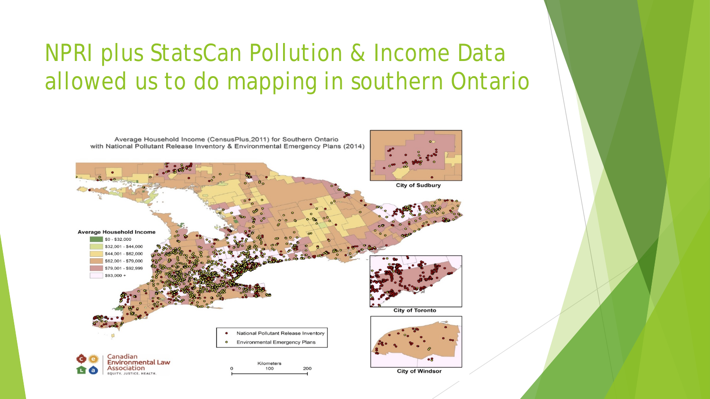#### NPRI plus StatsCan Pollution & Income Data allowed us to do mapping in southern Ontario

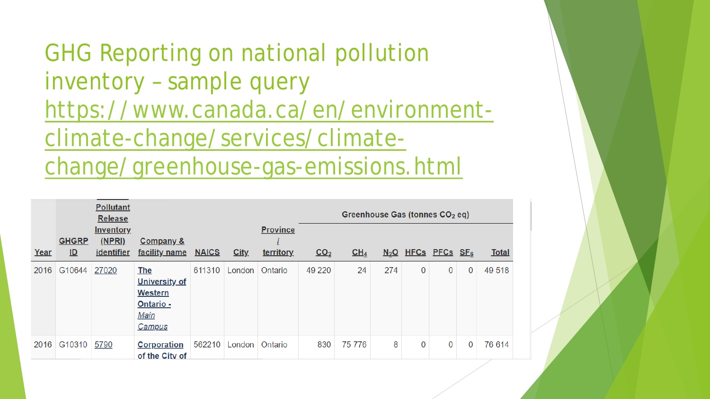GHG Reporting on national pollution inventory – sample query [https://www.canada.ca/en/environment](https://www.canada.ca/en/environment-climate-change/services/climate-change/greenhouse-gas-emissions.html)climate-change/services/climatechange/greenhouse-gas-emissions.html

|      |                                           | <b>Pollutant</b><br><b>Release</b> |                                                                                            |              |               |                 | Greenhouse Gas (tonnes CO <sub>2</sub> eq) |                 |     |                                  |   |             |              |
|------|-------------------------------------------|------------------------------------|--------------------------------------------------------------------------------------------|--------------|---------------|-----------------|--------------------------------------------|-----------------|-----|----------------------------------|---|-------------|--------------|
|      |                                           | <b>Inventory</b>                   |                                                                                            |              |               | <b>Province</b> |                                            |                 |     |                                  |   |             |              |
| Year | <b>GHGRP</b><br>$\underline{\mathsf{ID}}$ | <u>(NPRI)</u><br><i>identifier</i> | <b>Company &amp;</b><br>facility name                                                      | <b>NAICS</b> | City.         | territory       | CO <sub>2</sub>                            | CH <sub>4</sub> |     | $N_2O$ HFCs PFCs SF <sub>6</sub> |   |             | <b>Total</b> |
| 2016 | G10644                                    | 27020                              | <b>The</b><br><b>University of</b><br><b>Western</b><br>Ontario -<br>Main<br><b>Campus</b> | 611310       | London        | Ontario         | 49 220                                     | 24              | 274 | 0                                | 0 | 0           | 49 518       |
| 2016 | G10310                                    | 5790                               | <b>Corporation</b><br>of the City of                                                       |              | 562210 London | Ontario         | 830                                        | 75 776          | 8   | 0                                | 0 | $\mathbf 0$ | 76 614       |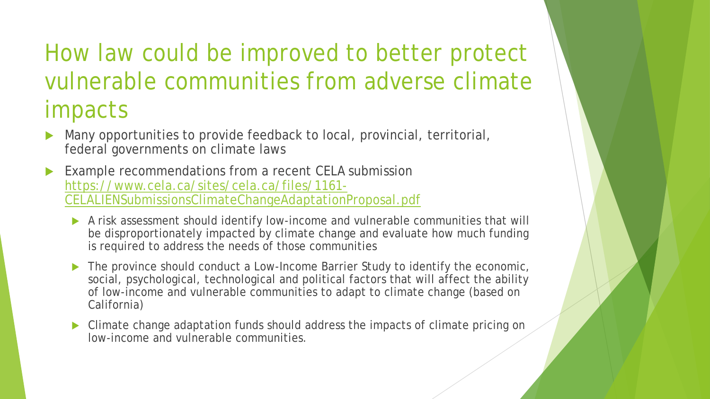#### How law could be improved to better protect vulnerable communities from adverse climate impacts

- Many opportunities to provide feedback to local, provincial, territorial, federal governments on climate laws
- Example recommendations from a recent CELA submission https://www.cela.ca/sites/cela.ca/files/1161- [CELALIENSubmissionsClimateChangeAdaptationProposal.pdf](https://www.cela.ca/sites/cela.ca/files/1161-CELALIENSubmissionsClimateChangeAdaptationProposal.pdf)
	- A risk assessment should identify low-income and vulnerable communities that will be disproportionately impacted by climate change and evaluate how much funding is required to address the needs of those communities
	- The province should conduct a Low-Income Barrier Study to identify the economic, social, psychological, technological and political factors that will affect the ability of low-income and vulnerable communities to adapt to climate change (based on California)
	- Climate change adaptation funds should address the impacts of climate pricing on low-income and vulnerable communities.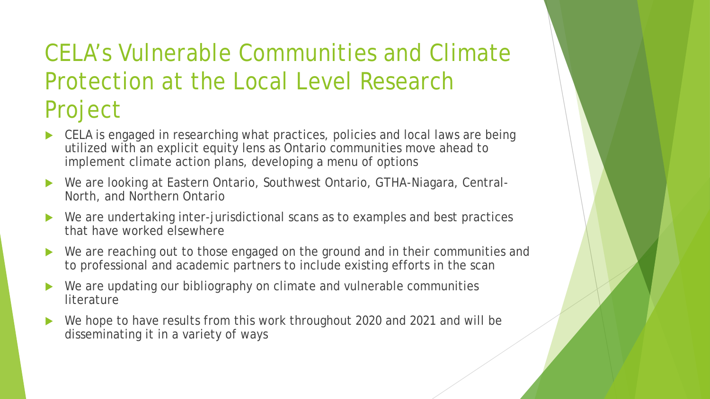#### CELA's Vulnerable Communities and Climate Protection at the Local Level Research Project

- ▶ CELA is engaged in researching what practices, policies and local laws are being utilized with an explicit equity lens as Ontario communities move ahead to implement climate action plans, developing a menu of options
- We are looking at Eastern Ontario, Southwest Ontario, GTHA-Niagara, Central-North, and Northern Ontario
- We are undertaking inter-jurisdictional scans as to examples and best practices that have worked elsewhere
- ▶ We are reaching out to those engaged on the ground and in their communities and to professional and academic partners to include existing efforts in the scan
- We are updating our bibliography on climate and vulnerable communities **literature**
- We hope to have results from this work throughout 2020 and 2021 and will be disseminating it in a variety of ways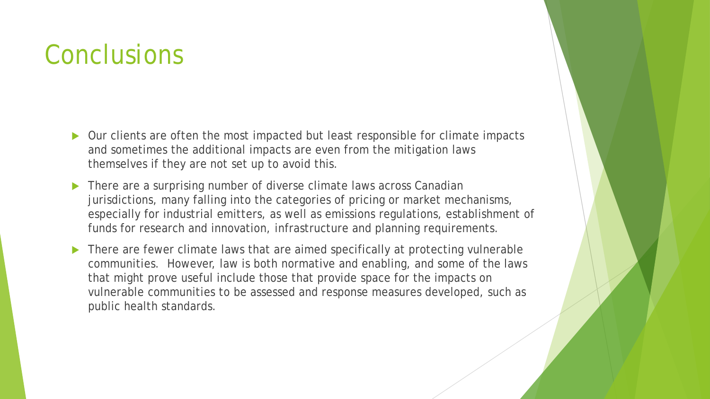#### **Conclusions**

- ▶ Our clients are often the most impacted but least responsible for climate impacts and sometimes the additional impacts are even from the mitigation laws themselves if they are not set up to avoid this.
- There are a surprising number of diverse climate laws across Canadian jurisdictions, many falling into the categories of pricing or market mechanisms, especially for industrial emitters, as well as emissions regulations, establishment of funds for research and innovation, infrastructure and planning requirements.
- There are fewer climate laws that are aimed specifically at protecting vulnerable communities. However, law is both normative and enabling, and some of the laws that might prove useful include those that provide space for the impacts on vulnerable communities to be assessed and response measures developed, such as public health standards.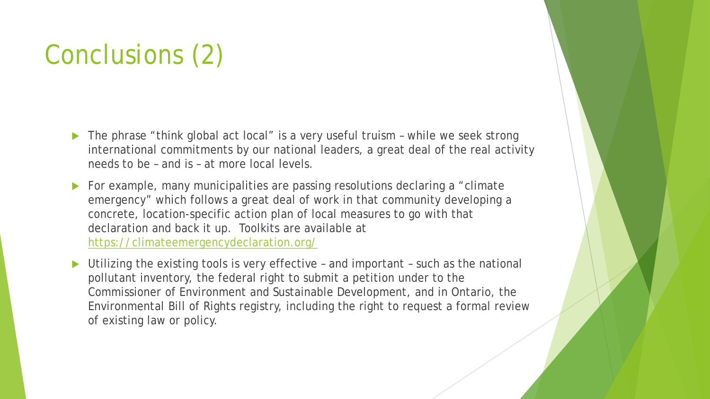# Conclusions (2)

- ▶ The phrase "think global act local" is a very useful truism while we seek strong international commitments by our national leaders, a great deal of the real activity needs to be – and is – at more local levels.
- For example, many municipalities are passing resolutions declaring a "climate emergency" which follows a great deal of work in that community developing a concrete, location-specific action plan of local measures to go with that declaration and back it up. Toolkits are available at <https://climateemergencydeclaration.org/>
- Utilizing the existing tools is very effective and important such as the national pollutant inventory, the federal right to submit a petition under to the Commissioner of Environment and Sustainable Development, and in Ontario, the Environmental Bill of Rights registry, including the right to request a formal review of existing law or policy.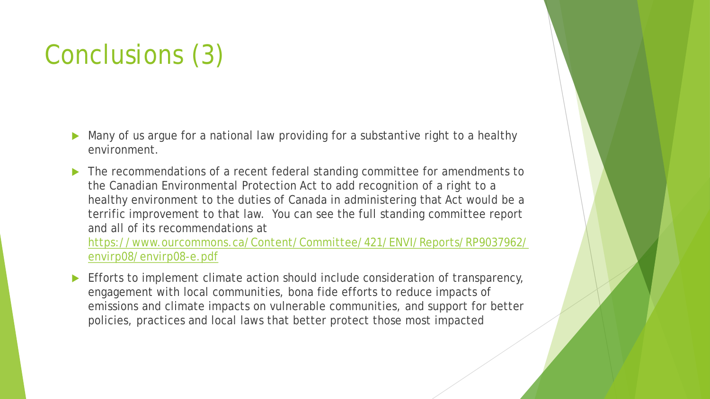# Conclusions (3)

- Many of us argue for a national law providing for a substantive right to a healthy environment.
- The recommendations of a recent federal standing committee for amendments to the Canadian Environmental Protection Act to add recognition of a right to a healthy environment to the duties of Canada in administering that Act would be a terrific improvement to that law. You can see the full standing committee report and all of its recommendations at

[https://www.ourcommons.ca/Content/Committee/421/ENVI/Reports/RP9037962/](https://www.ourcommons.ca/Content/Committee/421/ENVI/Reports/RP9037962/envirp08/envirp08-e.pdf) envirp08/envirp08-e.pdf

 Efforts to implement climate action should include consideration of transparency, engagement with local communities, bona fide efforts to reduce impacts of emissions and climate impacts on vulnerable communities, and support for better policies, practices and local laws that better protect those most impacted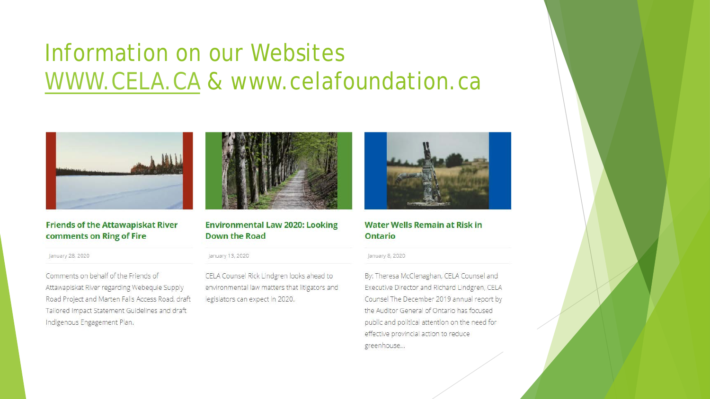#### Information on our Websites [WWW.CELA.CA](http://www.cela.ca/) & www.celafoundation.ca



#### **Friends of the Attawapiskat River** comments on Ring of Fire

January 28, 2020

Comments on behalf of the Friends of Attawapiskat River regarding Webequie Supply Road Project and Marten Falls Access Road, draft Tailored Impact Statement Guidelines and draft Indigenous Engagement Plan.



**Environmental Law 2020: Looking Down the Road** 

January 13, 2020

CELA Counsel Rick Lindgren looks ahead to environmental law matters that litigators and legislators can expect in 2020.



#### **Water Wells Remain at Risk in Ontario**

January 8, 2020

By: Theresa McClenaghan, CELA Counsel and Executive Director and Richard Lindgren, CELA Counsel The December 2019 annual report by the Auditor General of Ontario has focused public and political attention on the need for effective provincial action to reduce greenhouse...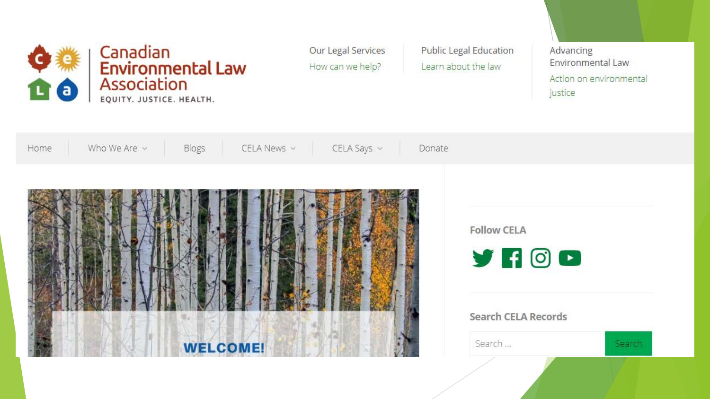

Our Legal Services How can we help?

**Public Legal Education** Learn about the law

Advancing Environmental Law Action on environmental justice

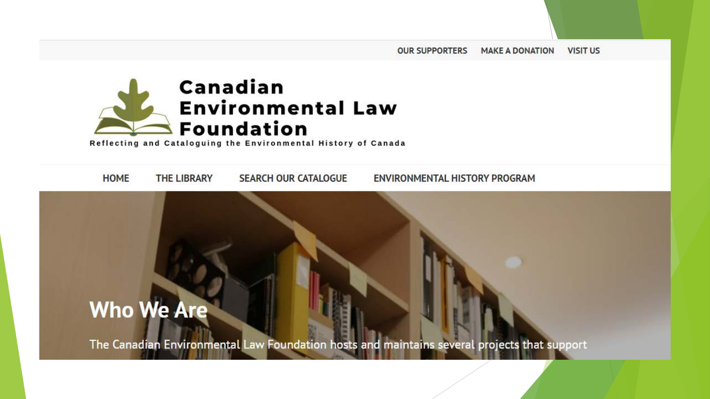

Reflecting and Cataloguing the Environmental History of Canada

**HOME THE LIBRARY SEARCH OUR CATALOGUE ENVIRONMENTAL HISTORY PROGRAM** 

#### **Who We Are**

The Canadian Environmental Law Foundation hosts and maintains several projects that support